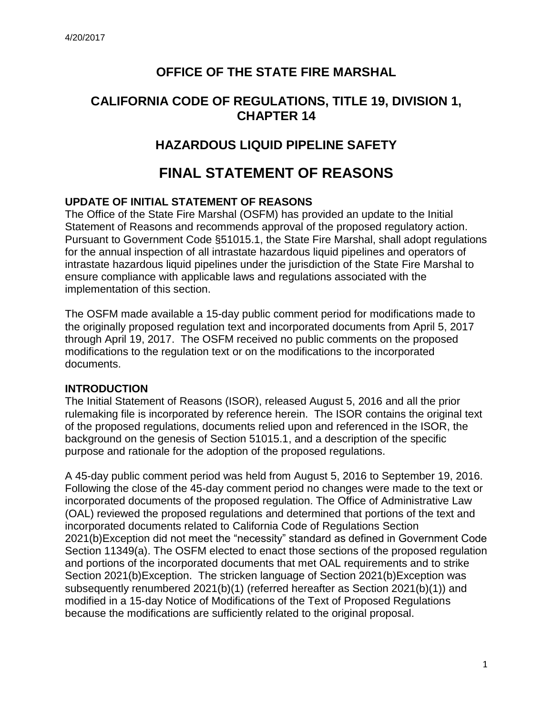## **OFFICE OF THE STATE FIRE MARSHAL**

### **CALIFORNIA CODE OF REGULATIONS, TITLE 19, DIVISION 1, CHAPTER 14**

## **HAZARDOUS LIQUID PIPELINE SAFETY**

# **FINAL STATEMENT OF REASONS**

#### **UPDATE OF INITIAL STATEMENT OF REASONS**

The Office of the State Fire Marshal (OSFM) has provided an update to the Initial Statement of Reasons and recommends approval of the proposed regulatory action. Pursuant to Government Code §51015.1, the State Fire Marshal, shall adopt regulations for the annual inspection of all intrastate hazardous liquid pipelines and operators of intrastate hazardous liquid pipelines under the jurisdiction of the State Fire Marshal to ensure compliance with applicable laws and regulations associated with the implementation of this section.

The OSFM made available a 15-day public comment period for modifications made to the originally proposed regulation text and incorporated documents from April 5, 2017 through April 19, 2017. The OSFM received no public comments on the proposed modifications to the regulation text or on the modifications to the incorporated documents.

#### **INTRODUCTION**

The Initial Statement of Reasons (ISOR), released August 5, 2016 and all the prior rulemaking file is incorporated by reference herein. The ISOR contains the original text of the proposed regulations, documents relied upon and referenced in the ISOR, the background on the genesis of Section 51015.1, and a description of the specific purpose and rationale for the adoption of the proposed regulations.

A 45-day public comment period was held from August 5, 2016 to September 19, 2016. Following the close of the 45-day comment period no changes were made to the text or incorporated documents of the proposed regulation. The Office of Administrative Law (OAL) reviewed the proposed regulations and determined that portions of the text and incorporated documents related to California Code of Regulations Section 2021(b)Exception did not meet the "necessity" standard as defined in Government Code Section 11349(a). The OSFM elected to enact those sections of the proposed regulation and portions of the incorporated documents that met OAL requirements and to strike Section 2021(b)Exception. The stricken language of Section 2021(b)Exception was subsequently renumbered 2021(b)(1) (referred hereafter as Section 2021(b)(1)) and modified in a 15-day Notice of Modifications of the Text of Proposed Regulations because the modifications are sufficiently related to the original proposal.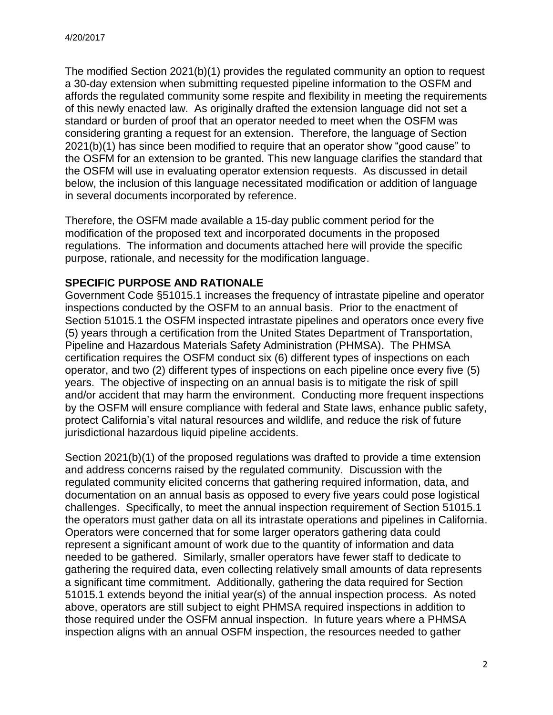The modified Section 2021(b)(1) provides the regulated community an option to request a 30-day extension when submitting requested pipeline information to the OSFM and affords the regulated community some respite and flexibility in meeting the requirements of this newly enacted law. As originally drafted the extension language did not set a standard or burden of proof that an operator needed to meet when the OSFM was considering granting a request for an extension. Therefore, the language of Section 2021(b)(1) has since been modified to require that an operator show "good cause" to the OSFM for an extension to be granted. This new language clarifies the standard that the OSFM will use in evaluating operator extension requests. As discussed in detail below, the inclusion of this language necessitated modification or addition of language in several documents incorporated by reference.

Therefore, the OSFM made available a 15-day public comment period for the modification of the proposed text and incorporated documents in the proposed regulations. The information and documents attached here will provide the specific purpose, rationale, and necessity for the modification language.

#### **SPECIFIC PURPOSE AND RATIONALE**

Government Code §51015.1 increases the frequency of intrastate pipeline and operator inspections conducted by the OSFM to an annual basis. Prior to the enactment of Section 51015.1 the OSFM inspected intrastate pipelines and operators once every five (5) years through a certification from the United States Department of Transportation, Pipeline and Hazardous Materials Safety Administration (PHMSA). The PHMSA certification requires the OSFM conduct six (6) different types of inspections on each operator, and two (2) different types of inspections on each pipeline once every five (5) years. The objective of inspecting on an annual basis is to mitigate the risk of spill and/or accident that may harm the environment. Conducting more frequent inspections by the OSFM will ensure compliance with federal and State laws, enhance public safety, protect California's vital natural resources and wildlife, and reduce the risk of future jurisdictional hazardous liquid pipeline accidents.

Section 2021(b)(1) of the proposed regulations was drafted to provide a time extension and address concerns raised by the regulated community. Discussion with the regulated community elicited concerns that gathering required information, data, and documentation on an annual basis as opposed to every five years could pose logistical challenges. Specifically, to meet the annual inspection requirement of Section 51015.1 the operators must gather data on all its intrastate operations and pipelines in California. Operators were concerned that for some larger operators gathering data could represent a significant amount of work due to the quantity of information and data needed to be gathered. Similarly, smaller operators have fewer staff to dedicate to gathering the required data, even collecting relatively small amounts of data represents a significant time commitment. Additionally, gathering the data required for Section 51015.1 extends beyond the initial year(s) of the annual inspection process. As noted above, operators are still subject to eight PHMSA required inspections in addition to those required under the OSFM annual inspection. In future years where a PHMSA inspection aligns with an annual OSFM inspection, the resources needed to gather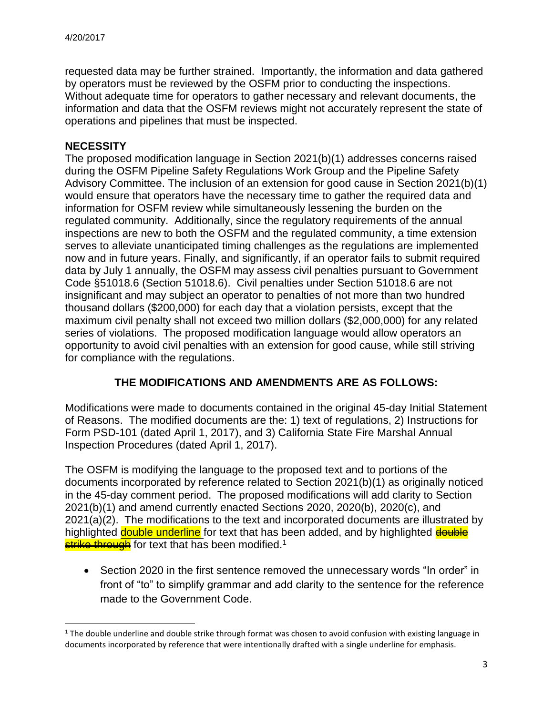requested data may be further strained. Importantly, the information and data gathered by operators must be reviewed by the OSFM prior to conducting the inspections. Without adequate time for operators to gather necessary and relevant documents, the information and data that the OSFM reviews might not accurately represent the state of operations and pipelines that must be inspected.

#### **NECESSITY**

 $\overline{a}$ 

The proposed modification language in Section 2021(b)(1) addresses concerns raised during the OSFM Pipeline Safety Regulations Work Group and the Pipeline Safety Advisory Committee. The inclusion of an extension for good cause in Section 2021(b)(1) would ensure that operators have the necessary time to gather the required data and information for OSFM review while simultaneously lessening the burden on the regulated community. Additionally, since the regulatory requirements of the annual inspections are new to both the OSFM and the regulated community, a time extension serves to alleviate unanticipated timing challenges as the regulations are implemented now and in future years. Finally, and significantly, if an operator fails to submit required data by July 1 annually, the OSFM may assess civil penalties pursuant to Government Code §51018.6 (Section 51018.6). Civil penalties under Section 51018.6 are not insignificant and may subject an operator to penalties of not more than two hundred thousand dollars (\$200,000) for each day that a violation persists, except that the maximum civil penalty shall not exceed two million dollars (\$2,000,000) for any related series of violations. The proposed modification language would allow operators an opportunity to avoid civil penalties with an extension for good cause, while still striving for compliance with the regulations.

#### **THE MODIFICATIONS AND AMENDMENTS ARE AS FOLLOWS:**

Modifications were made to documents contained in the original 45-day Initial Statement of Reasons. The modified documents are the: 1) text of regulations, 2) Instructions for Form PSD-101 (dated April 1, 2017), and 3) California State Fire Marshal Annual Inspection Procedures (dated April 1, 2017).

The OSFM is modifying the language to the proposed text and to portions of the documents incorporated by reference related to Section 2021(b)(1) as originally noticed in the 45-day comment period. The proposed modifications will add clarity to Section 2021(b)(1) and amend currently enacted Sections 2020, 2020(b), 2020(c), and 2021(a)(2). The modifications to the text and incorporated documents are illustrated by highlighted **double underline** for text that has been added, and by highlighted **double strike through** for text that has been modified.<sup>1</sup>

• Section 2020 in the first sentence removed the unnecessary words "In order" in front of "to" to simplify grammar and add clarity to the sentence for the reference made to the Government Code.

 $1$  The double underline and double strike through format was chosen to avoid confusion with existing language in documents incorporated by reference that were intentionally drafted with a single underline for emphasis.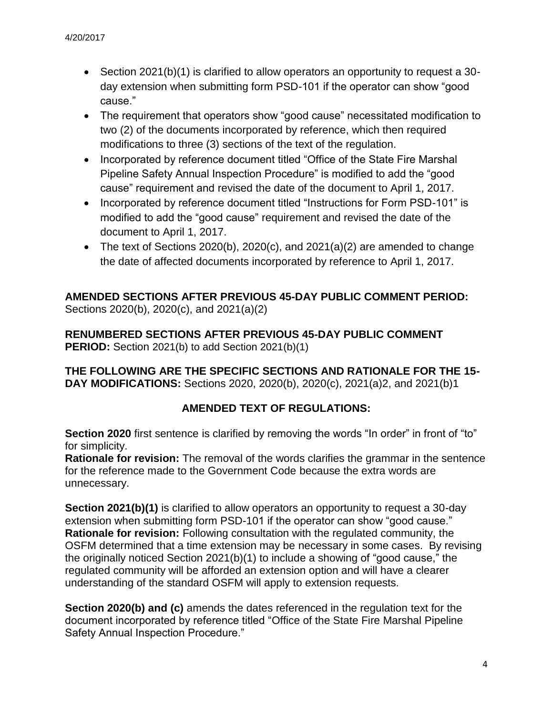- Section 2021(b)(1) is clarified to allow operators an opportunity to request a 30day extension when submitting form PSD-101 if the operator can show "good cause."
- The requirement that operators show "good cause" necessitated modification to two (2) of the documents incorporated by reference, which then required modifications to three (3) sections of the text of the regulation.
- Incorporated by reference document titled "Office of the State Fire Marshal Pipeline Safety Annual Inspection Procedure" is modified to add the "good cause" requirement and revised the date of the document to April 1, 2017.
- Incorporated by reference document titled "Instructions for Form PSD-101" is modified to add the "good cause" requirement and revised the date of the document to April 1, 2017.
- The text of Sections 2020(b), 2020(c), and 2021(a)(2) are amended to change the date of affected documents incorporated by reference to April 1, 2017.

**AMENDED SECTIONS AFTER PREVIOUS 45-DAY PUBLIC COMMENT PERIOD:** Sections 2020(b), 2020(c), and 2021(a)(2)

**RENUMBERED SECTIONS AFTER PREVIOUS 45-DAY PUBLIC COMMENT PERIOD:** Section 2021(b) to add Section 2021(b)(1)

**THE FOLLOWING ARE THE SPECIFIC SECTIONS AND RATIONALE FOR THE 15- DAY MODIFICATIONS:** Sections 2020, 2020(b), 2020(c), 2021(a)2, and 2021(b)1

### **AMENDED TEXT OF REGULATIONS:**

**Section 2020** first sentence is clarified by removing the words "In order" in front of "to" for simplicity.

**Rationale for revision:** The removal of the words clarifies the grammar in the sentence for the reference made to the Government Code because the extra words are unnecessary.

**Section 2021(b)(1)** is clarified to allow operators an opportunity to request a 30-day extension when submitting form PSD-101 if the operator can show "good cause." **Rationale for revision:** Following consultation with the regulated community, the OSFM determined that a time extension may be necessary in some cases. By revising the originally noticed Section 2021(b)(1) to include a showing of "good cause," the regulated community will be afforded an extension option and will have a clearer understanding of the standard OSFM will apply to extension requests.

**Section 2020(b) and (c)** amends the dates referenced in the regulation text for the document incorporated by reference titled "Office of the State Fire Marshal Pipeline Safety Annual Inspection Procedure."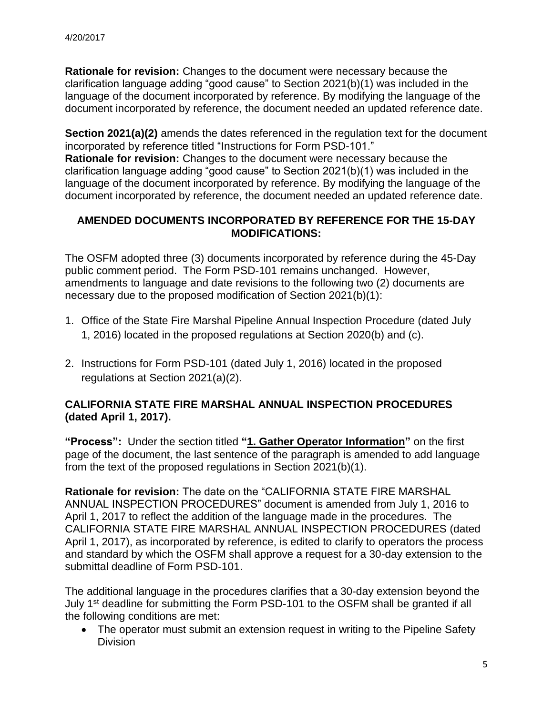**Rationale for revision:** Changes to the document were necessary because the clarification language adding "good cause" to Section 2021(b)(1) was included in the language of the document incorporated by reference. By modifying the language of the document incorporated by reference, the document needed an updated reference date.

**Section 2021(a)(2)** amends the dates referenced in the regulation text for the document incorporated by reference titled "Instructions for Form PSD-101."

**Rationale for revision:** Changes to the document were necessary because the clarification language adding "good cause" to Section 2021(b)(1) was included in the language of the document incorporated by reference. By modifying the language of the document incorporated by reference, the document needed an updated reference date.

#### **AMENDED DOCUMENTS INCORPORATED BY REFERENCE FOR THE 15-DAY MODIFICATIONS:**

The OSFM adopted three (3) documents incorporated by reference during the 45-Day public comment period. The Form PSD-101 remains unchanged. However, amendments to language and date revisions to the following two (2) documents are necessary due to the proposed modification of Section 2021(b)(1):

- 1. Office of the State Fire Marshal Pipeline Annual Inspection Procedure (dated July 1, 2016) located in the proposed regulations at Section 2020(b) and (c).
- 2. Instructions for Form PSD-101 (dated July 1, 2016) located in the proposed regulations at Section 2021(a)(2).

#### **CALIFORNIA STATE FIRE MARSHAL ANNUAL INSPECTION PROCEDURES (dated April 1, 2017).**

**"Process":** Under the section titled **"1. Gather Operator Information"** on the first page of the document, the last sentence of the paragraph is amended to add language from the text of the proposed regulations in Section 2021(b)(1).

**Rationale for revision:** The date on the "CALIFORNIA STATE FIRE MARSHAL ANNUAL INSPECTION PROCEDURES" document is amended from July 1, 2016 to April 1, 2017 to reflect the addition of the language made in the procedures. The CALIFORNIA STATE FIRE MARSHAL ANNUAL INSPECTION PROCEDURES (dated April 1, 2017), as incorporated by reference, is edited to clarify to operators the process and standard by which the OSFM shall approve a request for a 30-day extension to the submittal deadline of Form PSD-101.

The additional language in the procedures clarifies that a 30-day extension beyond the July 1st deadline for submitting the Form PSD-101 to the OSFM shall be granted if all the following conditions are met:

 The operator must submit an extension request in writing to the Pipeline Safety **Division**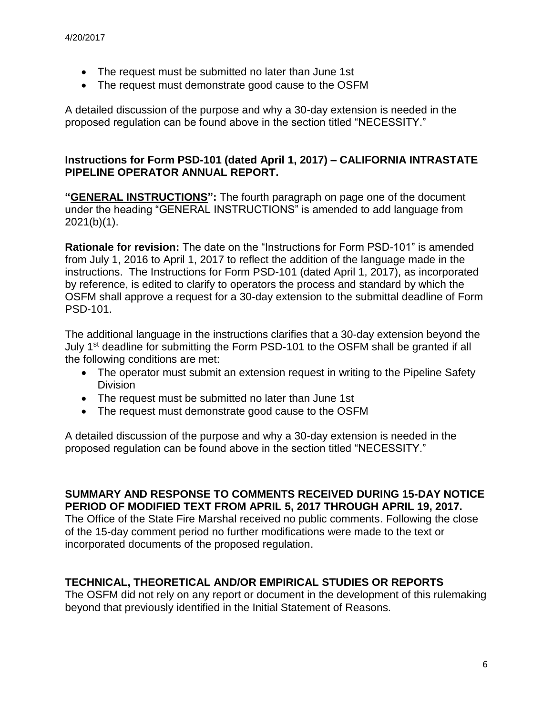- The request must be submitted no later than June 1st
- The request must demonstrate good cause to the OSFM

A detailed discussion of the purpose and why a 30-day extension is needed in the proposed regulation can be found above in the section titled "NECESSITY."

#### **Instructions for Form PSD-101 (dated April 1, 2017) – CALIFORNIA INTRASTATE PIPELINE OPERATOR ANNUAL REPORT.**

**"GENERAL INSTRUCTIONS":** The fourth paragraph on page one of the document under the heading "GENERAL INSTRUCTIONS" is amended to add language from 2021(b)(1).

**Rationale for revision:** The date on the "Instructions for Form PSD-101" is amended from July 1, 2016 to April 1, 2017 to reflect the addition of the language made in the instructions. The Instructions for Form PSD-101 (dated April 1, 2017), as incorporated by reference, is edited to clarify to operators the process and standard by which the OSFM shall approve a request for a 30-day extension to the submittal deadline of Form PSD-101.

The additional language in the instructions clarifies that a 30-day extension beyond the July 1st deadline for submitting the Form PSD-101 to the OSFM shall be granted if all the following conditions are met:

- The operator must submit an extension request in writing to the Pipeline Safety **Division**
- The request must be submitted no later than June 1st
- The request must demonstrate good cause to the OSFM

A detailed discussion of the purpose and why a 30-day extension is needed in the proposed regulation can be found above in the section titled "NECESSITY."

#### **SUMMARY AND RESPONSE TO COMMENTS RECEIVED DURING 15-DAY NOTICE PERIOD OF MODIFIED TEXT FROM APRIL 5, 2017 THROUGH APRIL 19, 2017.**

The Office of the State Fire Marshal received no public comments. Following the close of the 15-day comment period no further modifications were made to the text or incorporated documents of the proposed regulation.

#### **TECHNICAL, THEORETICAL AND/OR EMPIRICAL STUDIES OR REPORTS**

The OSFM did not rely on any report or document in the development of this rulemaking beyond that previously identified in the Initial Statement of Reasons.